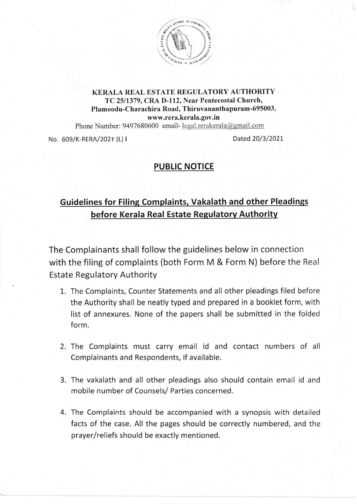

## KERALA REAL ESTATE REGULATORY AUTHORITY TC2511379, CRA D-l12, Near Pentecostal Church, Plamoodu-Charachira Road, Thiruvananthapuram-695003. www.rera.kerala.gov.in

Phone Number: 9497680600 email- legal. rerakerala@ gmail.com

No. 609/K-RERA/2021 (L) I Dated 20/3/2021

## PUBLIC NOTICE

## Guidelines for Filing Complaints, Vakalath and other Pleadings before Kerala Real Estate Regulatory Authority

The Complainants shall follow the guidelines below in connection with the filing of complaints (both Form M & Form N) before the Real Estate Regulatory Authority

- 1. The Complaints, Counter Statements and all other pleadings filed before the Authority shall be neatly typed and prepared in a booklet form, with list of annexures. None of the papers shall be submitted in the folded form.
- 2. The Complaints must carry email id and contact numbers of all Complainants and Respondents, if available.
- 3. The vakalath and all other pleadings also should contain email id and mobile number of Counsels/ Parties concerned.
- 4. The Complaints should be accompanied with a synopsis with detailed facts of the case. All the pages should be correctly numbered, and the prayer/reliefs should be exactly mentioned.